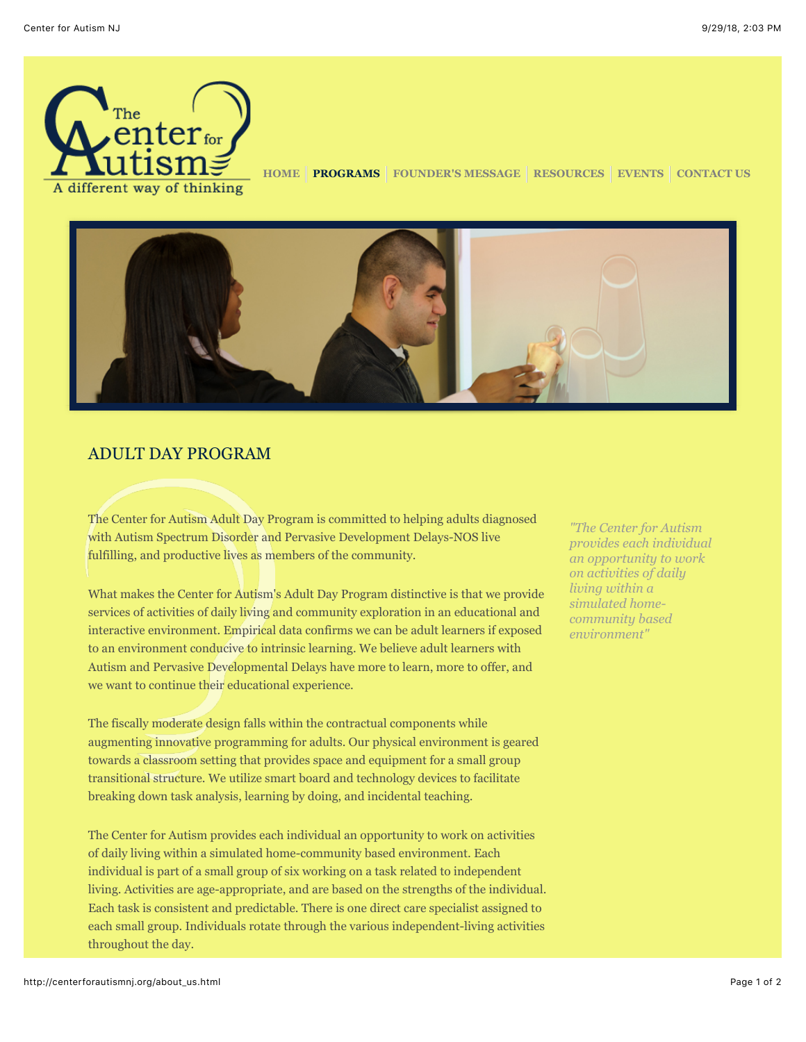

**[HOME](http://centerforautismnj.org/index.html) [PROGRAMS](http://centerforautismnj.org/about_us.html) [FOUNDER'S MESSAGE](http://centerforautismnj.org/founders_message.html) [RESOURCES](http://centerforautismnj.org/resources.html) [EVENTS](http://centerforautismnj.org/events.html) [CONTACT US](http://centerforautismnj.org/contact_us.html)**



## ADULT DAY PROGRAM

The Center for Autism Adult Day Program is committed to helping adults diagnosed with Autism Spectrum Disorder and Pervasive Development Delays-NOS live fulfilling, and productive lives as members of the community.

What makes the Center for Autism's Adult Day Program distinctive is that we provide services of activities of daily living and community exploration in an educational and interactive environment. Empirical data confirms we can be adult learners if exposed to an environment conducive to intrinsic learning. We believe adult learners with Autism and Pervasive Developmental Delays have more to learn, more to offer, and we want to continue their educational experience.

The fiscally moderate design falls within the contractual components while augmenting innovative programming for adults. Our physical environment is geared towards a classroom setting that provides space and equipment for a small group transitional structure. We utilize smart board and technology devices to facilitate breaking down task analysis, learning by doing, and incidental teaching.

The Center for Autism provides each individual an opportunity to work on activities of daily living within a simulated home-community based environment. Each individual is part of a small group of six working on a task related to independent living. Activities are age-appropriate, and are based on the strengths of the individual. Each task is consistent and predictable. There is one direct care specialist assigned to each small group. Individuals rotate through the various independent-living activities throughout the day.

*"The Center for Autism provides each individual an opportunity to work on activities of daily living within a simulated homecommunity based environment"*